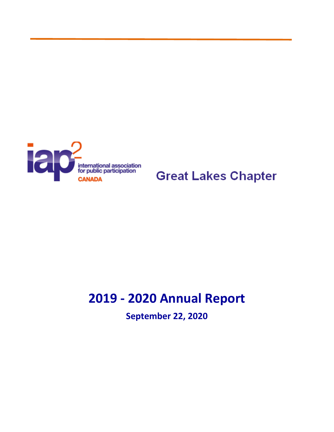

**Great Lakes Chapter** 

# **2019 - 2020 Annual Report**

**September 22, 2020**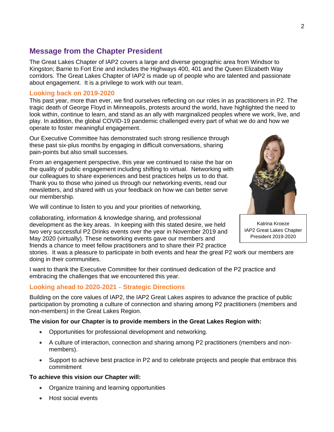## **Message from the Chapter President**

The Great Lakes Chapter of IAP2 covers a large and diverse geographic area from Windsor to Kingston; Barrie to Fort Erie and includes the Highways 400, 401 and the Queen Elizabeth Way corridors. The Great Lakes Chapter of IAP2 is made up of people who are talented and passionate about engagement. It is a privilege to work with our team.

#### **Looking back on 2019-2020**

This past year, more than ever, we find ourselves reflecting on our roles in as practitioners in P2. The tragic death of George Floyd in Minneapolis, protests around the world, have highlighted the need to look within, continue to learn, and stand as an ally with marginalized peoples where we work, live, and play. In addition, the global COVID-19 pandemic challenged every part of what we do and how we operate to foster meaningful engagement.

Our Executive Committee has demonstrated such strong resilience through these past six-plus months by engaging in difficult conversations, sharing pain-points but also small successes.

From an engagement perspective, this year we continued to raise the bar on the quality of public engagement including shifting to virtual. Networking with our colleagues to share experiences and best practices helps us to do that. Thank you to those who joined us through our networking events, read our newsletters, and shared with us your feedback on how we can better serve our membership.

We will continue to listen to you and your priorities of networking,

collaborating, information & knowledge sharing, and professional development as the key areas. In keeping with this stated desire, we held two very successful P2 Drinks events over the year in November 2019 and May 2020 (virtually). These networking events gave our members and friends a chance to meet fellow practitioners and to share their P2 practice

Katrina Kroeze IAP2 Great Lakes Chapter President 2019-2020

stories. It was a pleasure to participate in both events and hear the great P2 work our members are doing in their communities.

I want to thank the Executive Committee for their continued dedication of the P2 practice and embracing the challenges that we encountered this year.

### **Looking ahead to 2020-2021 - Strategic Directions**

Building on the core values of IAP2, the IAP2 Great Lakes aspires to advance the practice of public participation by promoting a culture of connection and sharing among P2 practitioners (members and non-members) in the Great Lakes Region.

#### **The vision for our Chapter is to provide members in the Great Lakes Region with:**

- Opportunities for professional development and networking.
- A culture of interaction, connection and sharing among P2 practitioners (members and nonmembers).
- Support to achieve best practice in P2 and to celebrate projects and people that embrace this commitment

#### **To achieve this vision our Chapter will:**

- Organize training and learning opportunities
- Host social events



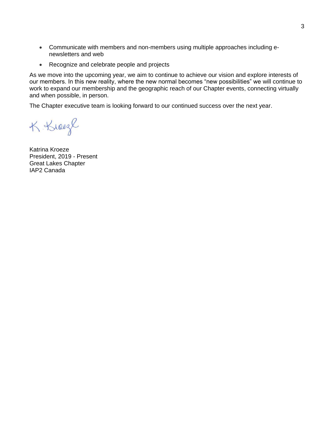- Communicate with members and non-members using multiple approaches including enewsletters and web
- Recognize and celebrate people and projects

As we move into the upcoming year, we aim to continue to achieve our vision and explore interests of our members. In this new reality, where the new normal becomes "new possibilities" we will continue to work to expand our membership and the geographic reach of our Chapter events, connecting virtually and when possible, in person.

The Chapter executive team is looking forward to our continued success over the next year.

K Kreeze

Katrina Kroeze President, 2019 - Present Great Lakes Chapter IAP2 Canada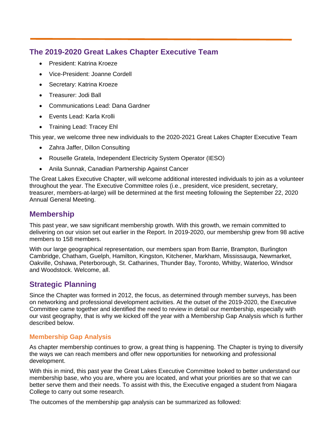## **The 2019-2020 Great Lakes Chapter Executive Team**

- President: Katrina Kroeze
- Vice-President: Joanne Cordell
- Secretary: Katrina Kroeze
- Treasurer: Jodi Ball
- Communications Lead: Dana Gardner
- Events Lead: Karla Krolli
- Training Lead: Tracey Ehl

This year, we welcome three new individuals to the 2020-2021 Great Lakes Chapter Executive Team

- Zahra Jaffer, Dillon Consulting
- Rouselle Gratela, Independent Electricity System Operator (IESO)
- Anila Sunnak, Canadian Partnership Against Cancer

The Great Lakes Executive Chapter, will welcome additional interested individuals to join as a volunteer throughout the year. The Executive Committee roles (i.e., president, vice president, secretary, treasurer, members-at-large) will be determined at the first meeting following the September 22, 2020 Annual General Meeting.

## **Membership**

This past year, we saw significant membership growth. With this growth, we remain committed to delivering on our vision set out earlier in the Report. In 2019-2020, our membership grew from 98 active members to 158 members.

With our large geographical representation, our members span from Barrie, Brampton, Burlington Cambridge, Chatham, Guelph, Hamilton, Kingston, Kitchener, Markham, Mississauga, Newmarket, Oakville, Oshawa, Peterborough, St. Catharines, Thunder Bay, Toronto, Whitby, Waterloo, Windsor and Woodstock. Welcome, all.

# **Strategic Planning**

Since the Chapter was formed in 2012, the focus, as determined through member surveys, has been on networking and professional development activities. At the outset of the 2019-2020, the Executive Committee came together and identified the need to review in detail our membership, especially with our vast geography, that is why we kicked off the year with a Membership Gap Analysis which is further described below.

### **Membership Gap Analysis**

As chapter membership continues to grow, a great thing is happening. The Chapter is trying to diversify the ways we can reach members and offer new opportunities for networking and professional development.

With this in mind, this past year the Great Lakes Executive Committee looked to better understand our membership base, who you are, where you are located, and what your priorities are so that we can better serve them and their needs. To assist with this, the Executive engaged a student from Niagara College to carry out some research.

The outcomes of the membership gap analysis can be summarized as followed: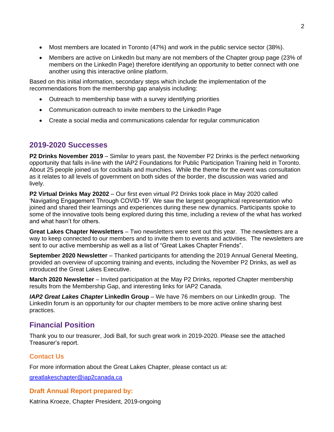- Most members are located in Toronto (47%) and work in the public service sector (38%).
- Members are active on LinkedIn but many are not members of the Chapter group page (23% of members on the LinkedIn Page) therefore identifying an opportunity to better connect with one another using this interactive online platform.

Based on this initial information, secondary steps which include the implementation of the recommendations from the membership gap analysis including:

- Outreach to membership base with a survey identifying priorities
- Communication outreach to invite members to the LinkedIn Page
- Create a social media and communications calendar for regular communication

## **2019-2020 Successes**

**P2 Drinks November 2019** – Similar to years past, the November P2 Drinks is the perfect networking opportunity that falls in-line with the IAP2 Foundations for Public Participation Training held in Toronto. About 25 people joined us for cocktails and munchies. While the theme for the event was consultation as it relates to all levels of government on both sides of the border, the discussion was varied and lively.

**P2 Virtual Drinks May 20202** – Our first even virtual P2 Drinks took place in May 2020 called 'Navigating Engagement Through COVID-19'. We saw the largest geographical representation who joined and shared their learnings and experiences during these new dynamics. Participants spoke to some of the innovative tools being explored during this time, including a review of the what has worked and what hasn't for others.

**Great Lakes Chapter Newsletters** – Two newsletters were sent out this year. The newsletters are a way to keep connected to our members and to invite them to events and activities. The newsletters are sent to our active membership as well as a list of "Great Lakes Chapter Friends".

**September 2020 Newsletter** – Thanked participants for attending the 2019 Annual General Meeting, provided an overview of upcoming training and events, including the November P2 Drinks, as well as introduced the Great Lakes Executive.

**March 2020 Newsletter** – Invited participation at the May P2 Drinks, reported Chapter membership results from the Membership Gap, and interesting links for IAP2 Canada.

*IAP2 Great Lakes Chapter LinkedIn Group* – We have 76 members on our LinkedIn group. The LinkedIn forum is an opportunity for our chapter members to be more active online sharing best practices.

# **Financial Position**

Thank you to our treasurer, Jodi Ball, for such great work in 2019-2020. Please see the attached Treasurer's report.

### **Contact Us**

For more information about the Great Lakes Chapter, please contact us at:

[greatlakeschapter@iap2canada.ca](mailto:greatlakeschapter@iap2canada.ca)

### **Draft Annual Report prepared by:**

Katrina Kroeze, Chapter President, 2019-ongoing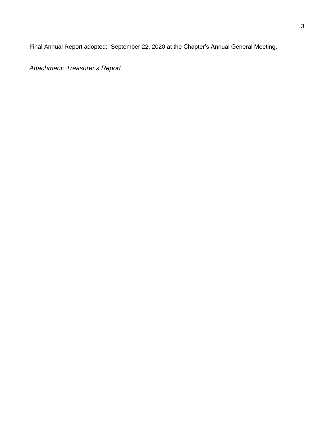Final Annual Report adopted: September 22, 2020 at the Chapter's Annual General Meeting.

*Attachment: Treasurer's Report*